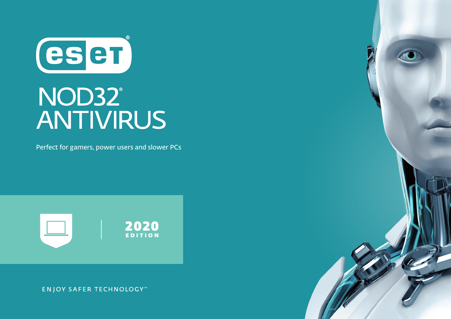CSCT

# NOD32°<br>ANTIVIRUS

Perfect for gamers, power users and slower PCs



**ENJOY SAFER TECHNOLOGY™** 

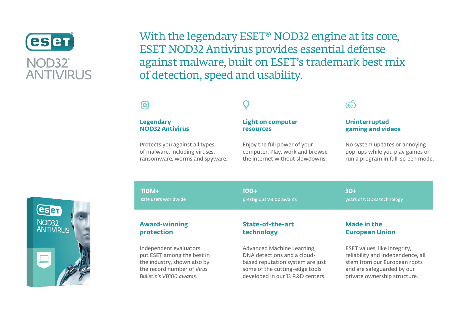

With the legendary ESET® NOD32 engine at its core, ESET NOD32 Antivirus provides essential defense against malware, built on ESET's trademark best mix of detection, speed and usability.

# $\boldsymbol{\Theta}$

#### **Legendary NOD32 Antivirus**

Protects you against all types of malware, including viruses, ransomware, worms and spyware.

#### **Light on computer resources**

Enjoy the full power of your computer. Play, work and browse the internet without slowdowns.

# ديم<br>س

#### **Uninterrupted gaming and videos**

No system updates or annoying pop-ups while you play games or run a program in full-screen mode.



**110M+**

safe users worldwide

**100+ 30+**prestigious VB100 awards

years of NOD32 technology

#### **Award-winning protection**

Independent evaluators put ESET among the best in the industry, shown also by the record number of *Virus Bulletin's VB100 awards.*

### **State-of-the-art technology**

Advanced Machine Learning, DNA detections and a cloudbased reputation system are just some of the cutting-edge tools developed in our 13 R&D centers.

## **Made in the European Union**

ESET values, like integrity, reliability and independence, all stem from our European roots and are safeguarded by our private ownership structure.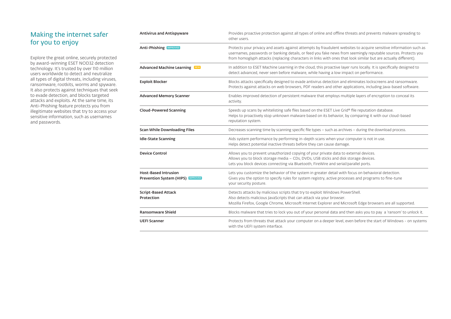# Making the internet safer for you to enjoy

Explore the great online, securely protected by award-winning ESET NOD32 detection technology. It's trusted by over 110 million users worldwide to detect and neutralize all types of digital threats, including viruses, ransomware, rootkits, worms and spyware. It also protects against techniques that seek to evade detection, and blocks targeted attacks and exploits. At the same time, its Anti-Phishing feature protects you from illegitimate websites that try to access your sensitive information, such as usernames and passwords.

| <b>Antivirus and Antispyware</b>                                        | Provides proactive protection against all types of online and offline threats and prevents malware spreading to<br>other users.                                                                                                                                                                                                                      |
|-------------------------------------------------------------------------|------------------------------------------------------------------------------------------------------------------------------------------------------------------------------------------------------------------------------------------------------------------------------------------------------------------------------------------------------|
| <b>Anti-Phishing MPROVED</b>                                            | Protects your privacy and assets against attempts by fraudulent websites to acquire sensitive information such as<br>usernames, passwords or banking details, or feed you fake news from seemingly reputable sources. Protects you<br>from homoglyph attacks (replacing characters in links with ones that look similar but are actually different). |
| <b>Advanced Machine Learning</b> NEW                                    | In addition to ESET Machine Learning in the cloud, this proactive layer runs locally. It is specifically designed to<br>detect advanced, never seen before malware, while having a low impact on performance.                                                                                                                                        |
| <b>Exploit Blocker</b>                                                  | Blocks attacks specifically designed to evade antivirus detection and eliminates lockscreens and ransomware.<br>Protects against attacks on web browsers, PDF readers and other applications, including Java-based software.                                                                                                                         |
| <b>Advanced Memory Scanner</b>                                          | Enables improved detection of persistent malware that employs multiple layers of encryption to conceal its<br>activity.                                                                                                                                                                                                                              |
| <b>Cloud-Powered Scanning</b>                                           | Speeds up scans by whitelisting safe files based on the ESET Live Grid® file reputation database.<br>Helps to proactively stop unknown malware based on its behavior, by comparing it with our cloud-based<br>reputation system.                                                                                                                     |
| <b>Scan While Downloading Files</b>                                     | Decreases scanning time by scanning specific file types - such as archives - during the download process.                                                                                                                                                                                                                                            |
| <b>Idle-State Scanning</b>                                              | Aids system performance by performing in-depth scans when your computer is not in use.<br>Helps detect potential inactive threats before they can cause damage.                                                                                                                                                                                      |
| <b>Device Control</b>                                                   | Allows you to prevent unauthorized copying of your private data to external devices.<br>Allows you to block storage media - CDs, DVDs, USB sticks and disk storage devices.<br>Lets you block devices connecting via Bluetooth, FireWire and serial/parallel ports.                                                                                  |
| <b>Host-Based Intrusion</b><br><b>Prevention System (HIPS) IMPROVED</b> | Lets you customize the behavior of the system in greater detail with focus on behavioral detection.<br>Gives you the option to specify rules for system registry, active processes and programs to fine-tune<br>your security posture.                                                                                                               |
| <b>Script-Based Attack</b><br>Protection                                | Detects attacks by malicious scripts that try to exploit Windows PowerShell.<br>Also detects malicious JavaScripts that can attack via your browser.<br>Mozilla Firefox, Google Chrome, Microsoft Internet Explorer and Microsoft Edge browsers are all supported.                                                                                   |
| <b>Ransomware Shield</b>                                                | Blocks malware that tries to lock you out of your personal data and then asks you to pay a 'ransom' to unlock it.                                                                                                                                                                                                                                    |
| <b>UEFI Scanner</b>                                                     | Protects from threats that attack your computer on a deeper level, even before the start of Windows - on systems<br>with the UEFI system interface.                                                                                                                                                                                                  |